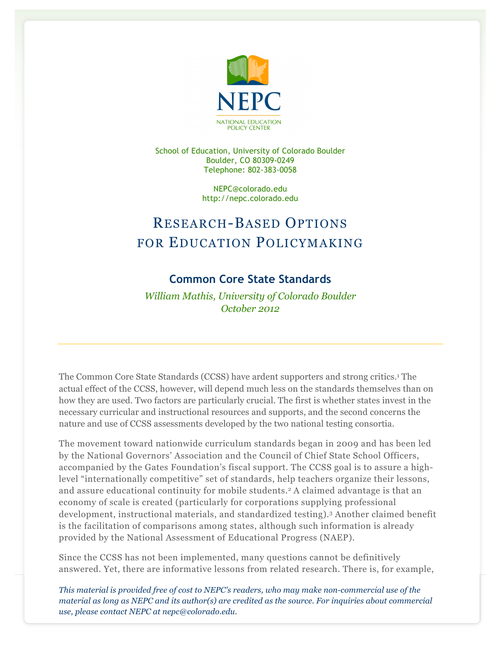

School of Education, University of Colorado Boulder Boulder, CO 80309-0249 Telephone: 802-383-0058

> NEPC@colorado.edu http://nepc.colorado.edu

## RESEARCH-BASED OPTIONS FOR EDUCATION POLICYMAKING

## **Common Core State Standards**

*William Mathis, University of Colorado Boulder October 2012*

The Common Core State Standards (CCSS) have ardent supporters and strong critics.1 The actual effect of the CCSS, however, will depend much less on the standards themselves than on how they are used. Two factors are particularly crucial. The first is whether states invest in the necessary curricular and instructional resources and supports, and the second concerns the nature and use of CCSS assessments developed by the two national testing consortia.

The movement toward nationwide curriculum standards began in 2009 and has been led by the National Governors' Association and the Council of Chief State School Officers, accompanied by the Gates Foundation's fiscal support. The CCSS goal is to assure a highlevel "internationally competitive" set of standards, help teachers organize their lessons, and assure educational continuity for mobile students.2 A claimed advantage is that an economy of scale is created (particularly for corporations supplying professional development, instructional materials, and standardized testing).3 Another claimed benefit is the facilitation of comparisons among states, although such information is already provided by the National Assessment of Educational Progress (NAEP).

Since the CCSS has not been implemented, many questions cannot be definitively answered. Yet, there are informative lessons from related research. There is, for example,

*This material is provided free of cost to NEPC's readers, who may make non-commercial use of the material as long as NEPC and its author(s) are credited as the source. For inquiries about commercial use, please contact NEPC at nepc@colorado.edu.*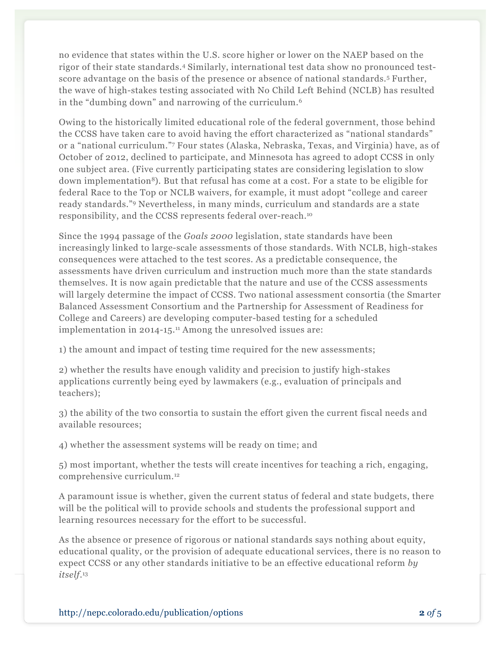no evidence that states within the U.S. score higher or lower on the NAEP based on the rigor of their state standards.4 Similarly, international test data show no pronounced testscore advantage on the basis of the presence or absence of national standards.5 Further, the wave of high-stakes testing associated with No Child Left Behind (NCLB) has resulted in the "dumbing down" and narrowing of the curriculum.6

Owing to the historically limited educational role of the federal government, those behind the CCSS have taken care to avoid having the effort characterized as "national standards" or a "national curriculum."7 Four states (Alaska, Nebraska, Texas, and Virginia) have, as of October of 2012, declined to participate, and Minnesota has agreed to adopt CCSS in only one subject area. (Five currently participating states are considering legislation to slow down implementation<sup>8</sup>). But that refusal has come at a cost. For a state to be eligible for federal Race to the Top or NCLB waivers, for example, it must adopt "college and career ready standards."9 Nevertheless, in many minds, curriculum and standards are a state responsibility, and the CCSS represents federal over-reach.10

Since the 1994 passage of the *Goals 2000* legislation, state standards have been increasingly linked to large-scale assessments of those standards. With NCLB, high-stakes consequences were attached to the test scores. As a predictable consequence, the assessments have driven curriculum and instruction much more than the state standards themselves. It is now again predictable that the nature and use of the CCSS assessments will largely determine the impact of CCSS. Two national assessment consortia (the Smarter Balanced Assessment Consortium and the Partnership for Assessment of Readiness for College and Careers) are developing computer-based testing for a scheduled implementation in 2014-15.<sup>11</sup> Among the unresolved issues are:

1) the amount and impact of testing time required for the new assessments;

2) whether the results have enough validity and precision to justify high-stakes applications currently being eyed by lawmakers (e.g., evaluation of principals and teachers);

3) the ability of the two consortia to sustain the effort given the current fiscal needs and available resources;

4) whether the assessment systems will be ready on time; and

5) most important, whether the tests will create incentives for teaching a rich, engaging, comprehensive curriculum.12

A paramount issue is whether, given the current status of federal and state budgets, there will be the political will to provide schools and students the professional support and learning resources necessary for the effort to be successful.

As the absence or presence of rigorous or national standards says nothing about equity, educational quality, or the provision of adequate educational services, there is no reason to expect CCSS or any other standards initiative to be an effective educational reform *by itself*.13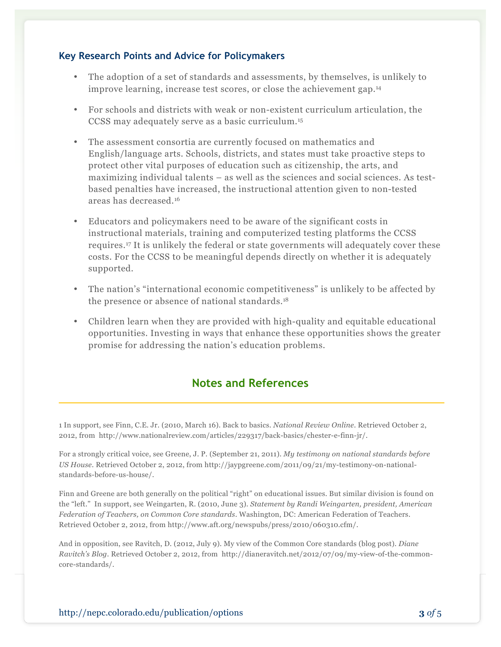## **Key Research Points and Advice for Policymakers**

- The adoption of a set of standards and assessments, by themselves, is unlikely to improve learning, increase test scores, or close the achievement gap.14
- For schools and districts with weak or non-existent curriculum articulation, the CCSS may adequately serve as a basic curriculum.15
- The assessment consortia are currently focused on mathematics and English/language arts. Schools, districts, and states must take proactive steps to protect other vital purposes of education such as citizenship, the arts, and maximizing individual talents – as well as the sciences and social sciences. As testbased penalties have increased, the instructional attention given to non-tested areas has decreased.16
- Educators and policymakers need to be aware of the significant costs in instructional materials, training and computerized testing platforms the CCSS requires.17 It is unlikely the federal or state governments will adequately cover these costs. For the CCSS to be meaningful depends directly on whether it is adequately supported.
- The nation's "international economic competitiveness" is unlikely to be affected by the presence or absence of national standards.<sup>18</sup>
- Children learn when they are provided with high-quality and equitable educational opportunities. Investing in ways that enhance these opportunities shows the greater promise for addressing the nation's education problems.

## **Notes and References**

1 In support, see Finn, C.E. Jr. (2010, March 16). Back to basics. *National Review Online*. Retrieved October 2, 2012, from http://www.nationalreview.com/articles/229317/back-basics/chester-e-finn-jr/.

For a strongly critical voice, see Greene, J. P. (September 21, 2011). *My testimony on national standards before US House*. Retrieved October 2, 2012, from http://jaypgreene.com/2011/09/21/my-testimony-on-nationalstandards-before-us-house/.

Finn and Greene are both generally on the political "right" on educational issues. But similar division is found on the "left." In support, see Weingarten, R. (2010, June 3). *Statement by Randi Weingarten, president, American Federation of Teachers, on Common Core standards*. Washington, DC: American Federation of Teachers. Retrieved October 2, 2012, from http://www.aft.org/newspubs/press/2010/060310.cfm/.

And in opposition, see Ravitch, D. (2012, July 9). My view of the Common Core standards (blog post). *Diane Ravitch's Blog*. Retrieved October 2, 2012, from http://dianeravitch.net/2012/07/09/my-view-of-the-commoncore-standards/.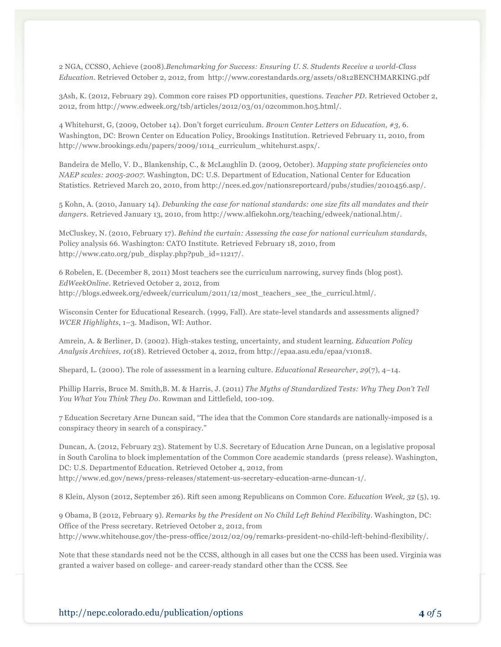2 NGA, CCSSO, Achieve (2008).*Benchmarking for Success: Ensuring U. S. Students Receive a world-Class Education*. Retrieved October 2, 2012, from http://www.corestandards.org/assets/0812BENCHMARKING.pdf

3Ash, K. (2012, February 29). Common core raises PD opportunities, questions. *Teacher PD*. Retrieved October 2, 2012, from http://www.edweek.org/tsb/articles/2012/03/01/02common.h05.html/.

4 Whitehurst, G, (2009, October 14). Don't forget curriculum. *Brown Center Letters on Education, #3,* 6. Washington, DC: Brown Center on Education Policy, Brookings Institution. Retrieved February 11, 2010, from http://www.brookings.edu/papers/2009/1014\_curriculum\_whitehurst.aspx/.

Bandeira de Mello, V. D., Blankenship, C., & McLaughlin D. (2009, October). *Mapping state proficiencies onto NAEP scales: 2005-2007.* Washington, DC: U.S. Department of Education, National Center for Education Statistics. Retrieved March 20, 2010, from http://nces.ed.gov/nationsreportcard/pubs/studies/2010456.asp/.

5 Kohn, A. (2010, January 14). *Debunking the case for national standards: one size fits all mandates and their dangers*. Retrieved January 13, 2010, from http://www.alfiekohn.org/teaching/edweek/national.htm/.

McCluskey, N. (2010, February 17). *Behind the curtain: Assessing the case for national curriculum standards,*  Policy analysis 66. Washington: CATO Institute. Retrieved February 18, 2010, from http://www.cato.org/pub\_display.php?pub\_id=11217/.

6 Robelen, E. (December 8, 2011) Most teachers see the curriculum narrowing, survey finds (blog post). *EdWeekOnline*. Retrieved October 2, 2012, from http://blogs.edweek.org/edweek/curriculum/2011/12/most\_teachers\_see\_the\_curricul.html/.

Wisconsin Center for Educational Research. (1999, Fall). Are state-level standards and assessments aligned? *WCER Highlights*, 1–3. Madison, WI: Author.

Amrein, A. & Berliner, D. (2002). High-stakes testing, uncertainty, and student learning. *Education Policy Analysis Archives, 10*(18). Retrieved October 4, 2012, from http://epaa.asu.edu/epaa/v10n18.

Shepard, L. (2000). The role of assessment in a learning culture. *Educational Researcher, 29*(7), 4–14.

Phillip Harris, Bruce M. Smith,B. M. & Harris, J. (2011) *The Myths of Standardized Tests: Why They Don't Tell You What You Think They Do*. Rowman and Littlefield, 100-109.

7 Education Secretary Arne Duncan said, "The idea that the Common Core standards are nationally-imposed is a conspiracy theory in search of a conspiracy."

Duncan, A. (2012, February 23). Statement by U.S. Secretary of Education Arne Duncan, on a legislative proposal in South Carolina to block implementation of the Common Core academic standards (press release). Washington, DC: U.S. Departmentof Education. Retrieved October 4, 2012, from http://www.ed.gov/news/press-releases/statement-us-secretary-education-arne-duncan-1/.

8 Klein, Alyson (2012, September 26). Rift seen among Republicans on Common Core. *Education Week, 32* (5), 19.

9 Obama, B (2012, February 9). *Remarks by the President on No Child Left Behind Flexibility*. Washington, DC: Office of the Press secretary. Retrieved October 2, 2012, from http://www.whitehouse.gov/the-press-office/2012/02/09/remarks-president-no-child-left-behind-flexibility/.

Note that these standards need not be the CCSS, although in all cases but one the CCSS has been used. Virginia was granted a waiver based on college- and career-ready standard other than the CCSS. See